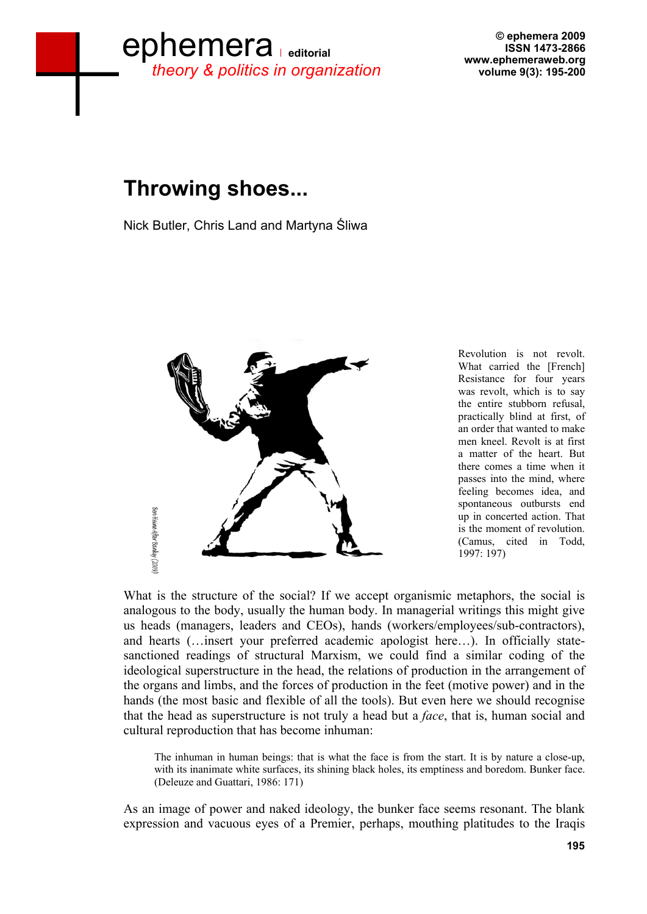## ephemera *theory & politics in organization*

**© ephemera 2009 ISSN 1473-2866 www.ephemeraweb.org volume 9(3): 195-200**

## **Throwing shoes...**

Nick Butler, Chris Land and Martyna Sliwa



Revolution is not revolt. What carried the [French] Resistance for four years was revolt, which is to say the entire stubborn refusal, practically blind at first, of an order that wanted to make men kneel. Revolt is at first a matter of the heart. But there comes a time when it passes into the mind, where feeling becomes idea, and spontaneous outbursts end up in concerted action. That is the moment of revolution. (Camus, cited in Todd, 1997: 197)

What is the structure of the social? If we accept organismic metaphors, the social is analogous to the body, usually the human body. In managerial writings this might give us heads (managers, leaders and CEOs), hands (workers/employees/sub-contractors), and hearts (…insert your preferred academic apologist here…). In officially statesanctioned readings of structural Marxism, we could find a similar coding of the ideological superstructure in the head, the relations of production in the arrangement of the organs and limbs, and the forces of production in the feet (motive power) and in the hands (the most basic and flexible of all the tools). But even here we should recognise that the head as superstructure is not truly a head but a *face*, that is, human social and cultural reproduction that has become inhuman:

The inhuman in human beings: that is what the face is from the start. It is by nature a close-up, with its inanimate white surfaces, its shining black holes, its emptiness and boredom. Bunker face. (Deleuze and Guattari, 1986: 171)

As an image of power and naked ideology, the bunker face seems resonant. The blank expression and vacuous eyes of a Premier, perhaps, mouthing platitudes to the Iraqis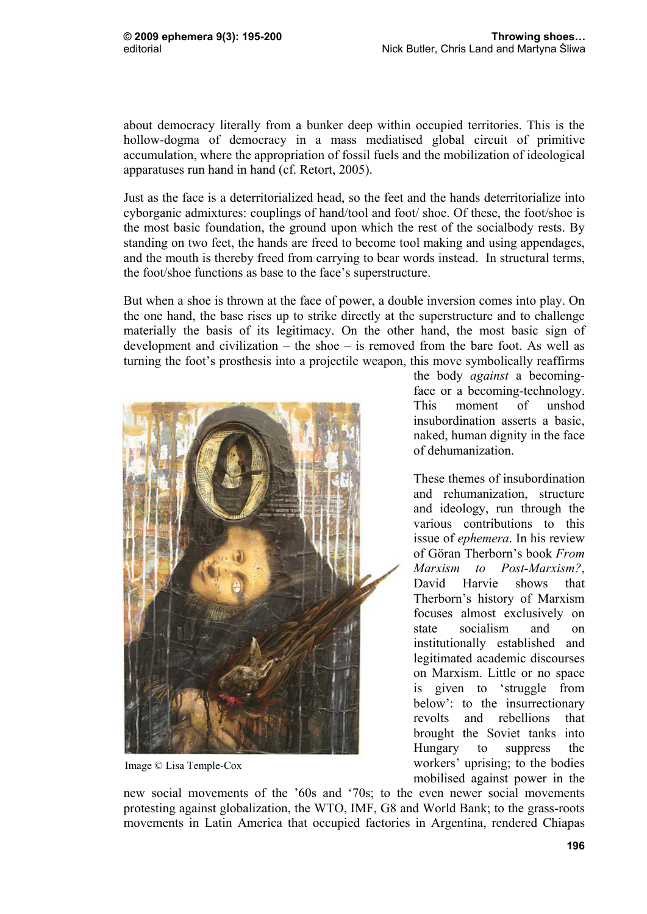about democracy literally from a bunker deep within occupied territories. This is the hollow-dogma of democracy in a mass mediatised global circuit of primitive accumulation, where the appropriation of fossil fuels and the mobilization of ideological apparatuses run hand in hand (cf. Retort, 2005).

Just as the face is a deterritorialized head, so the feet and the hands deterritorialize into cyborganic admixtures: couplings of hand/tool and foot/ shoe. Of these, the foot/shoe is the most basic foundation, the ground upon which the rest of the socialbody rests. By standing on two feet, the hands are freed to become tool making and using appendages, and the mouth is thereby freed from carrying to bear words instead. In structural terms, the foot/shoe functions as base to the face's superstructure.

But when a shoe is thrown at the face of power, a double inversion comes into play. On the one hand, the base rises up to strike directly at the superstructure and to challenge materially the basis of its legitimacy. On the other hand, the most basic sign of development and civilization – the shoe – is removed from the bare foot. As well as turning the foot's prosthesis into a projectile weapon, this move symbolically reaffirms



Image © Lisa Temple-Cox

the body *against* a becomingface or a becoming-technology. This moment of unshod insubordination asserts a basic, naked, human dignity in the face of dehumanization.

These themes of insubordination and rehumanization, structure and ideology, run through the various contributions to this issue of *ephemera*. In his review of Göran Therborn's book *From Marxism to Post-Marxism?*, David Harvie shows that Therborn's history of Marxism focuses almost exclusively on state socialism and on institutionally established and legitimated academic discourses on Marxism. Little or no space is given to 'struggle from below': to the insurrectionary revolts and rebellions that brought the Soviet tanks into Hungary to suppress the workers' uprising; to the bodies mobilised against power in the

new social movements of the '60s and '70s; to the even newer social movements protesting against globalization, the WTO, IMF, G8 and World Bank; to the grass-roots movements in Latin America that occupied factories in Argentina, rendered Chiapas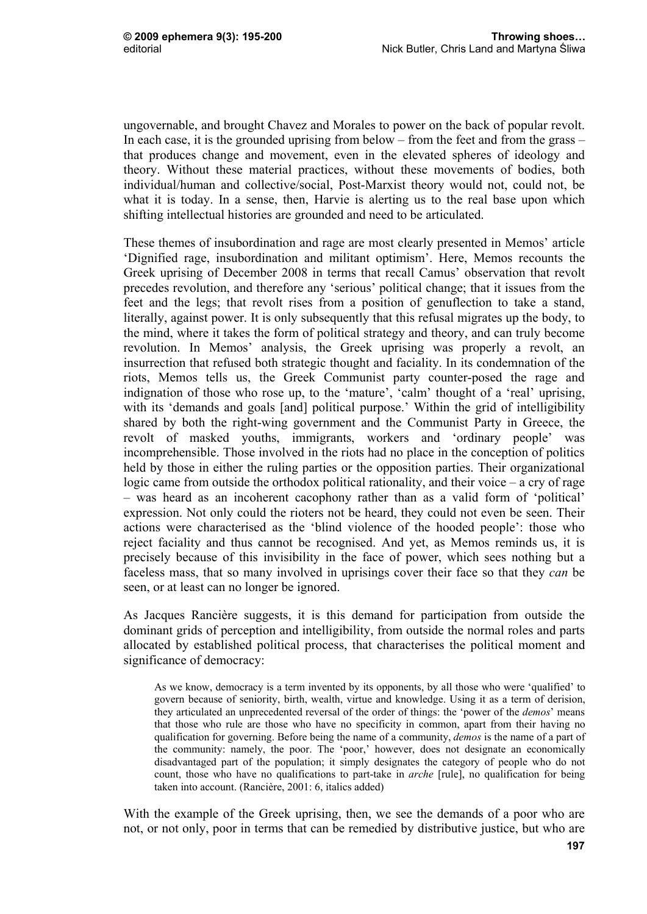ungovernable, and brought Chavez and Morales to power on the back of popular revolt. In each case, it is the grounded uprising from below – from the feet and from the grass – that produces change and movement, even in the elevated spheres of ideology and theory. Without these material practices, without these movements of bodies, both individual/human and collective/social, Post-Marxist theory would not, could not, be what it is today. In a sense, then, Harvie is alerting us to the real base upon which shifting intellectual histories are grounded and need to be articulated.

These themes of insubordination and rage are most clearly presented in Memos' article 'Dignified rage, insubordination and militant optimism'. Here, Memos recounts the Greek uprising of December 2008 in terms that recall Camus' observation that revolt precedes revolution, and therefore any 'serious' political change; that it issues from the feet and the legs; that revolt rises from a position of genuflection to take a stand, literally, against power. It is only subsequently that this refusal migrates up the body, to the mind, where it takes the form of political strategy and theory, and can truly become revolution. In Memos' analysis, the Greek uprising was properly a revolt, an insurrection that refused both strategic thought and faciality. In its condemnation of the riots, Memos tells us, the Greek Communist party counter-posed the rage and indignation of those who rose up, to the 'mature', 'calm' thought of a 'real' uprising, with its 'demands and goals [and] political purpose.' Within the grid of intelligibility shared by both the right-wing government and the Communist Party in Greece, the revolt of masked youths, immigrants, workers and 'ordinary people' was incomprehensible. Those involved in the riots had no place in the conception of politics held by those in either the ruling parties or the opposition parties. Their organizational logic came from outside the orthodox political rationality, and their voice – a cry of rage – was heard as an incoherent cacophony rather than as a valid form of 'political' expression. Not only could the rioters not be heard, they could not even be seen. Their actions were characterised as the 'blind violence of the hooded people': those who reject faciality and thus cannot be recognised. And yet, as Memos reminds us, it is precisely because of this invisibility in the face of power, which sees nothing but a faceless mass, that so many involved in uprisings cover their face so that they *can* be seen, or at least can no longer be ignored.

As Jacques Rancière suggests, it is this demand for participation from outside the dominant grids of perception and intelligibility, from outside the normal roles and parts allocated by established political process, that characterises the political moment and significance of democracy:

As we know, democracy is a term invented by its opponents, by all those who were 'qualified' to govern because of seniority, birth, wealth, virtue and knowledge. Using it as a term of derision, they articulated an unprecedented reversal of the order of things: the 'power of the *demos*' means that those who rule are those who have no specificity in common, apart from their having no qualification for governing. Before being the name of a community, *demos* is the name of a part of the community: namely, the poor. The 'poor,' however, does not designate an economically disadvantaged part of the population; it simply designates the category of people who do not count, those who have no qualifications to part-take in *arche* [rule], no qualification for being taken into account. (Rancière, 2001: 6, italics added)

With the example of the Greek uprising, then, we see the demands of a poor who are not, or not only, poor in terms that can be remedied by distributive justice, but who are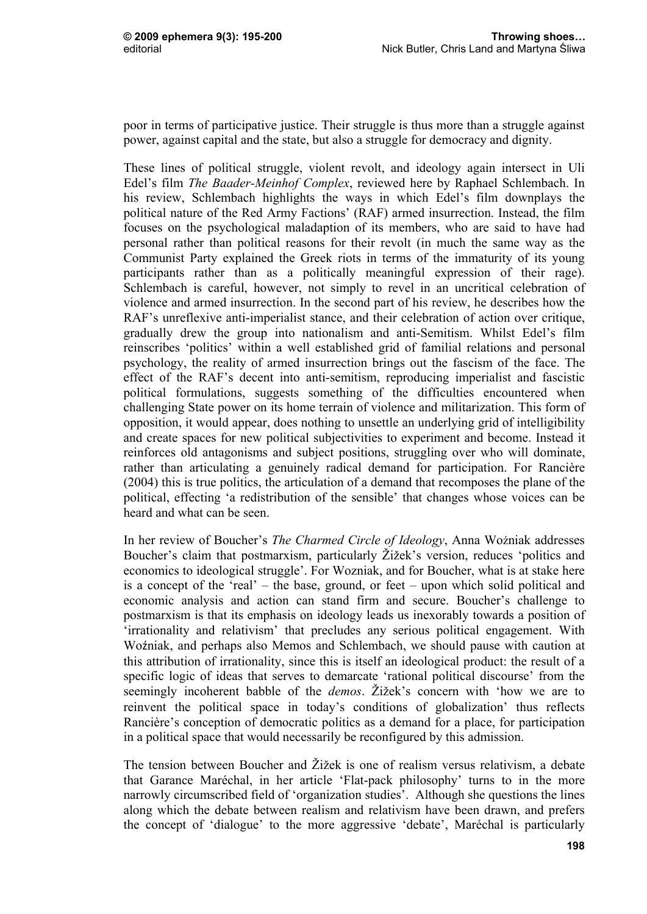poor in terms of participative justice. Their struggle is thus more than a struggle against power, against capital and the state, but also a struggle for democracy and dignity.

These lines of political struggle, violent revolt, and ideology again intersect in Uli Edel's film *The Baader-Meinhof Complex*, reviewed here by Raphael Schlembach. In his review, Schlembach highlights the ways in which Edel's film downplays the political nature of the Red Army Factions' (RAF) armed insurrection. Instead, the film focuses on the psychological maladaption of its members, who are said to have had personal rather than political reasons for their revolt (in much the same way as the Communist Party explained the Greek riots in terms of the immaturity of its young participants rather than as a politically meaningful expression of their rage). Schlembach is careful, however, not simply to revel in an uncritical celebration of violence and armed insurrection. In the second part of his review, he describes how the RAF's unreflexive anti-imperialist stance, and their celebration of action over critique, gradually drew the group into nationalism and anti-Semitism. Whilst Edel's film reinscribes 'politics' within a well established grid of familial relations and personal psychology, the reality of armed insurrection brings out the fascism of the face. The effect of the RAF's decent into anti-semitism, reproducing imperialist and fascistic political formulations, suggests something of the difficulties encountered when challenging State power on its home terrain of violence and militarization. This form of opposition, it would appear, does nothing to unsettle an underlying grid of intelligibility and create spaces for new political subjectivities to experiment and become. Instead it reinforces old antagonisms and subject positions, struggling over who will dominate, rather than articulating a genuinely radical demand for participation. For Rancière (2004) this is true politics, the articulation of a demand that recomposes the plane of the political, effecting 'a redistribution of the sensible' that changes whose voices can be heard and what can be seen.

In her review of Boucher's *The Charmed Circle of Ideology*, Anna Woźniak addresses Boucher's claim that postmarxism, particularly Žižek's version, reduces 'politics and economics to ideological struggle'. For Wozniak, and for Boucher, what is at stake here is a concept of the 'real' – the base, ground, or feet – upon which solid political and economic analysis and action can stand firm and secure. Boucher's challenge to postmarxism is that its emphasis on ideology leads us inexorably towards a position of 'irrationality and relativism' that precludes any serious political engagement. With Woźniak, and perhaps also Memos and Schlembach, we should pause with caution at this attribution of irrationality, since this is itself an ideological product: the result of a specific logic of ideas that serves to demarcate 'rational political discourse' from the seemingly incoherent babble of the *demos*. Žižek's concern with 'how we are to reinvent the political space in today's conditions of globalization' thus reflects Rancière's conception of democratic politics as a demand for a place, for participation in a political space that would necessarily be reconfigured by this admission.

The tension between Boucher and Žižek is one of realism versus relativism, a debate that Garance Maréchal, in her article 'Flat-pack philosophy' turns to in the more narrowly circumscribed field of 'organization studies'. Although she questions the lines along which the debate between realism and relativism have been drawn, and prefers the concept of 'dialogue' to the more aggressive 'debate', Maréchal is particularly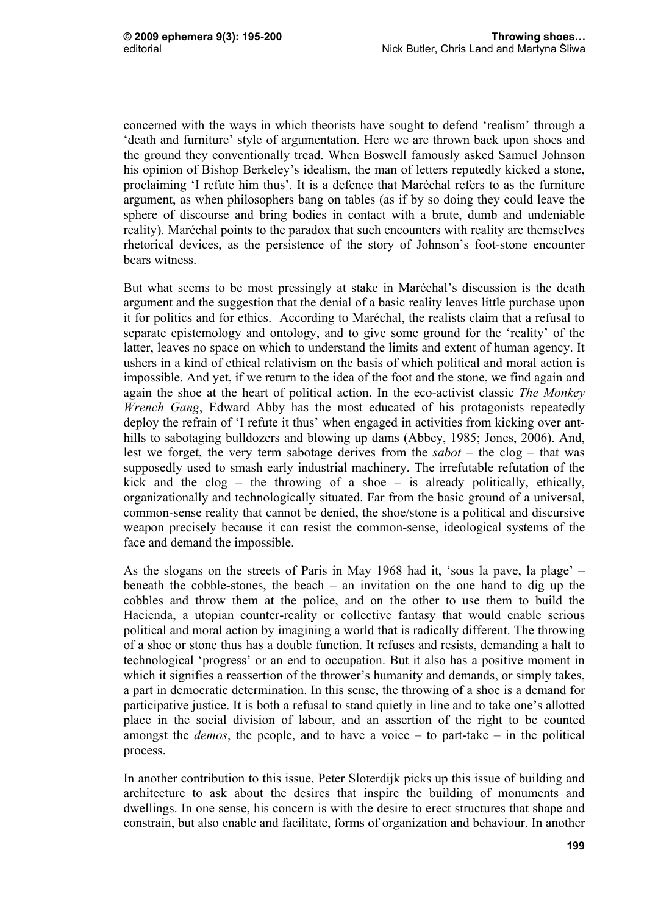concerned with the ways in which theorists have sought to defend 'realism' through a 'death and furniture' style of argumentation. Here we are thrown back upon shoes and the ground they conventionally tread. When Boswell famously asked Samuel Johnson his opinion of Bishop Berkeley's idealism, the man of letters reputedly kicked a stone, proclaiming 'I refute him thus'. It is a defence that Maréchal refers to as the furniture argument, as when philosophers bang on tables (as if by so doing they could leave the sphere of discourse and bring bodies in contact with a brute, dumb and undeniable reality). Maréchal points to the paradox that such encounters with reality are themselves rhetorical devices, as the persistence of the story of Johnson's foot-stone encounter bears witness.

But what seems to be most pressingly at stake in Maréchal's discussion is the death argument and the suggestion that the denial of a basic reality leaves little purchase upon it for politics and for ethics. According to Maréchal, the realists claim that a refusal to separate epistemology and ontology, and to give some ground for the 'reality' of the latter, leaves no space on which to understand the limits and extent of human agency. It ushers in a kind of ethical relativism on the basis of which political and moral action is impossible. And yet, if we return to the idea of the foot and the stone, we find again and again the shoe at the heart of political action. In the eco-activist classic *The Monkey Wrench Gang*, Edward Abby has the most educated of his protagonists repeatedly deploy the refrain of 'I refute it thus' when engaged in activities from kicking over anthills to sabotaging bulldozers and blowing up dams (Abbey, 1985; Jones, 2006). And, lest we forget, the very term sabotage derives from the *sabot* – the clog – that was supposedly used to smash early industrial machinery. The irrefutable refutation of the kick and the clog – the throwing of a shoe – is already politically, ethically, organizationally and technologically situated. Far from the basic ground of a universal, common-sense reality that cannot be denied, the shoe/stone is a political and discursive weapon precisely because it can resist the common-sense, ideological systems of the face and demand the impossible.

As the slogans on the streets of Paris in May 1968 had it, 'sous la pave, la plage' – beneath the cobble-stones, the beach – an invitation on the one hand to dig up the cobbles and throw them at the police, and on the other to use them to build the Hacienda, a utopian counter-reality or collective fantasy that would enable serious political and moral action by imagining a world that is radically different. The throwing of a shoe or stone thus has a double function. It refuses and resists, demanding a halt to technological 'progress' or an end to occupation. But it also has a positive moment in which it signifies a reassertion of the thrower's humanity and demands, or simply takes, a part in democratic determination. In this sense, the throwing of a shoe is a demand for participative justice. It is both a refusal to stand quietly in line and to take one's allotted place in the social division of labour, and an assertion of the right to be counted amongst the *demos*, the people, and to have a voice – to part-take – in the political process.

In another contribution to this issue, Peter Sloterdijk picks up this issue of building and architecture to ask about the desires that inspire the building of monuments and dwellings. In one sense, his concern is with the desire to erect structures that shape and constrain, but also enable and facilitate, forms of organization and behaviour. In another